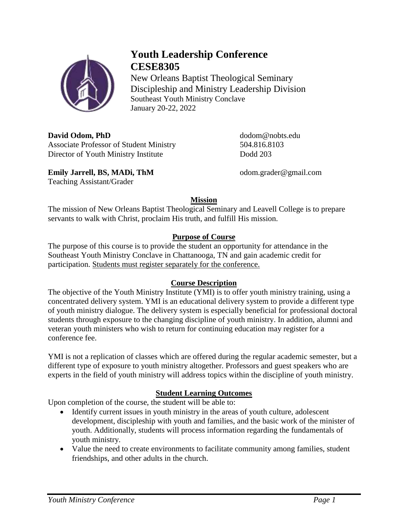

Teaching Assistant/Grader

# **Youth Leadership Conference CESE8305**

New Orleans Baptist Theological Seminary Discipleship and Ministry Leadership Division Southeast Youth Ministry Conclave January 20-22, 2022

**David Odom, PhD** dodom@nobts.edu Associate Professor of Student Ministry 504.816.8103 Director of Youth Ministry Institute Dodd 203

**Emily Jarrell, BS, MADi, ThM** odom.grader@gmail.com

# **Mission**

The mission of New Orleans Baptist Theological Seminary and Leavell College is to prepare servants to walk with Christ, proclaim His truth, and fulfill His mission.

# **Purpose of Course**

The purpose of this course is to provide the student an opportunity for attendance in the Southeast Youth Ministry Conclave in Chattanooga, TN and gain academic credit for participation. Students must register separately for the conference.

## **Course Description**

The objective of the Youth Ministry Institute (YMI) is to offer youth ministry training, using a concentrated delivery system. YMI is an educational delivery system to provide a different type of youth ministry dialogue. The delivery system is especially beneficial for professional doctoral students through exposure to the changing discipline of youth ministry. In addition, alumni and veteran youth ministers who wish to return for continuing education may register for a conference fee.

YMI is not a replication of classes which are offered during the regular academic semester, but a different type of exposure to youth ministry altogether. Professors and guest speakers who are experts in the field of youth ministry will address topics within the discipline of youth ministry.

## **Student Learning Outcomes**

Upon completion of the course, the student will be able to:

- Identify current issues in youth ministry in the areas of youth culture, adolescent development, discipleship with youth and families, and the basic work of the minister of youth. Additionally, students will process information regarding the fundamentals of youth ministry.
- Value the need to create environments to facilitate community among families, student friendships, and other adults in the church.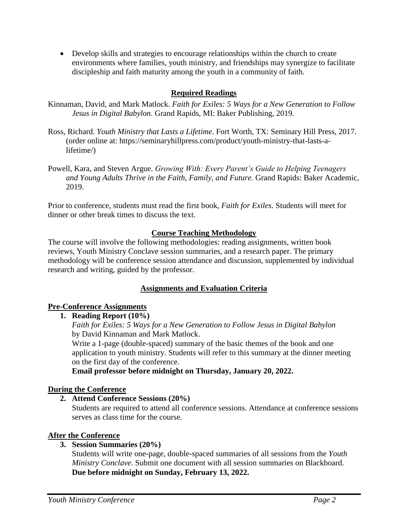• Develop skills and strategies to encourage relationships within the church to create environments where families, youth ministry, and friendships may synergize to facilitate discipleship and faith maturity among the youth in a community of faith.

### **Required Readings**

- Kinnaman, David, and Mark Matlock. *Faith for Exiles: 5 Ways for a New Generation to Follow Jesus in Digital Babylon*. Grand Rapids, MI: Baker Publishing, 2019.
- Ross, Richard. *Youth Ministry that Lasts a Lifetime*. Fort Worth, TX: Seminary Hill Press, 2017. (order online at: https://seminaryhillpress.com/product/youth-ministry-that-lasts-alifetime/)
- Powell, Kara, and Steven Argue. *Growing With: Every Parent's Guide to Helping Teenagers and Young Adults Thrive in the Faith, Family, and Future.* Grand Rapids: Baker Academic, 2019.

Prior to conference, students must read the first book, *Faith for Exiles*. Students will meet for dinner or other break times to discuss the text.

#### **Course Teaching Methodology**

The course will involve the following methodologies: reading assignments, written book reviews, Youth Ministry Conclave session summaries, and a research paper. The primary methodology will be conference session attendance and discussion, supplemented by individual research and writing, guided by the professor.

### **Assignments and Evaluation Criteria**

#### **Pre-Conference Assignments**

#### **1. Reading Report (10%)**

*Faith for Exiles: 5 Ways for a New Generation to Follow Jesus in Digital Babylon* by David Kinnaman and Mark Matlock.

Write a 1-page (double-spaced) summary of the basic themes of the book and one application to youth ministry. Students will refer to this summary at the dinner meeting on the first day of the conference.

**Email professor before midnight on Thursday, January 20, 2022.**

#### **During the Conference**

#### **2. Attend Conference Sessions (20%)**

Students are required to attend all conference sessions. Attendance at conference sessions serves as class time for the course.

#### **After the Conference**

### **3. Session Summaries (20%)**

Students will write one-page, double-spaced summaries of all sessions from the *Youth Ministry Conclave.* Submit one document with all session summaries on Blackboard. **Due before midnight on Sunday, February 13, 2022.**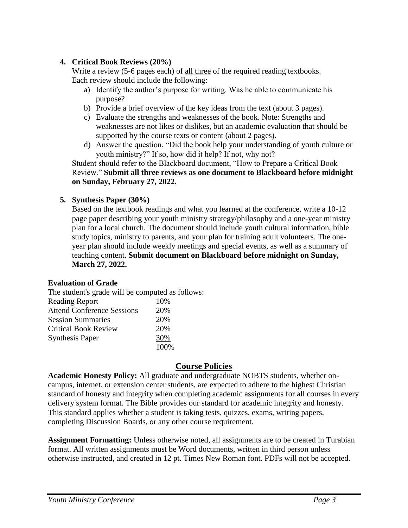### **4. Critical Book Reviews (20%)**

Write a review (5-6 pages each) of all three of the required reading textbooks. Each review should include the following:

- a) Identify the author's purpose for writing. Was he able to communicate his purpose?
- b) Provide a brief overview of the key ideas from the text (about 3 pages).
- c) Evaluate the strengths and weaknesses of the book. Note: Strengths and weaknesses are not likes or dislikes, but an academic evaluation that should be supported by the course texts or content (about 2 pages).
- d) Answer the question, "Did the book help your understanding of youth culture or youth ministry?" If so, how did it help? If not, why not?

Student should refer to the Blackboard document, "How to Prepare a Critical Book Review." **Submit all three reviews as one document to Blackboard before midnight on Sunday, February 27, 2022.**

#### **5. Synthesis Paper (30%)**

Based on the textbook readings and what you learned at the conference, write a 10-12 page paper describing your youth ministry strategy/philosophy and a one-year ministry plan for a local church. The document should include youth cultural information, bible study topics, ministry to parents, and your plan for training adult volunteers. The oneyear plan should include weekly meetings and special events, as well as a summary of teaching content. **Submit document on Blackboard before midnight on Sunday, March 27, 2022.**

#### **Evaluation of Grade**

The student's grade will be computed as follows:

| <b>Reading Report</b>             | 10%  |
|-----------------------------------|------|
| <b>Attend Conference Sessions</b> | 20%  |
| <b>Session Summaries</b>          | 20%  |
| <b>Critical Book Review</b>       | 20%  |
| <b>Synthesis Paper</b>            | 30%  |
|                                   | 100% |

## **Course Policies**

**Academic Honesty Policy:** All graduate and undergraduate NOBTS students, whether oncampus, internet, or extension center students, are expected to adhere to the highest Christian standard of honesty and integrity when completing academic assignments for all courses in every delivery system format. The Bible provides our standard for academic integrity and honesty. This standard applies whether a student is taking tests, quizzes, exams, writing papers, completing Discussion Boards, or any other course requirement.

**Assignment Formatting:** Unless otherwise noted, all assignments are to be created in Turabian format. All written assignments must be Word documents, written in third person unless otherwise instructed, and created in 12 pt. Times New Roman font. PDFs will not be accepted.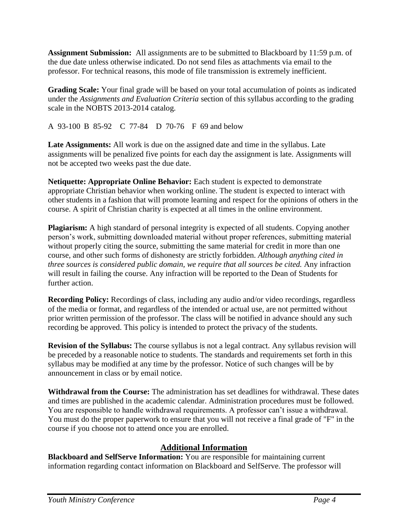**Assignment Submission:** All assignments are to be submitted to Blackboard by 11:59 p.m. of the due date unless otherwise indicated. Do not send files as attachments via email to the professor. For technical reasons, this mode of file transmission is extremely inefficient.

**Grading Scale:** Your final grade will be based on your total accumulation of points as indicated under the *Assignments and Evaluation Criteria* section of this syllabus according to the grading scale in the NOBTS 2013-2014 catalog.

A 93-100 B 85-92 C 77-84 D 70-76 F 69 and below

**Late Assignments:** All work is due on the assigned date and time in the syllabus. Late assignments will be penalized five points for each day the assignment is late. Assignments will not be accepted two weeks past the due date.

**Netiquette: Appropriate Online Behavior:** Each student is expected to demonstrate appropriate Christian behavior when working online. The student is expected to interact with other students in a fashion that will promote learning and respect for the opinions of others in the course. A spirit of Christian charity is expected at all times in the online environment.

**Plagiarism:** A high standard of personal integrity is expected of all students. Copying another person's work, submitting downloaded material without proper references, submitting material without properly citing the source, submitting the same material for credit in more than one course, and other such forms of dishonesty are strictly forbidden. *Although anything cited in three sources is considered public domain, we require that all sources be cited.* Any infraction will result in failing the course. Any infraction will be reported to the Dean of Students for further action.

**Recording Policy:** Recordings of class, including any audio and/or video recordings, regardless of the media or format, and regardless of the intended or actual use, are not permitted without prior written permission of the professor. The class will be notified in advance should any such recording be approved. This policy is intended to protect the privacy of the students.

**Revision of the Syllabus:** The course syllabus is not a legal contract. Any syllabus revision will be preceded by a reasonable notice to students. The standards and requirements set forth in this syllabus may be modified at any time by the professor. Notice of such changes will be by announcement in class or by email notice.

**Withdrawal from the Course:** The administration has set deadlines for withdrawal. These dates and times are published in the academic calendar. Administration procedures must be followed. You are responsible to handle withdrawal requirements. A professor can't issue a withdrawal. You must do the proper paperwork to ensure that you will not receive a final grade of "F" in the course if you choose not to attend once you are enrolled.

# **Additional Information**

**Blackboard and SelfServe Information:** You are responsible for maintaining current information regarding contact information on Blackboard and SelfServe. The professor will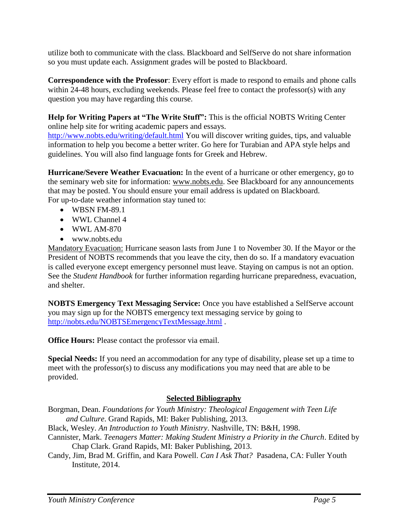utilize both to communicate with the class. Blackboard and SelfServe do not share information so you must update each. Assignment grades will be posted to Blackboard.

**Correspondence with the Professor**: Every effort is made to respond to emails and phone calls within 24-48 hours, excluding weekends. Please feel free to contact the professor(s) with any question you may have regarding this course.

**Help for Writing Papers at "The Write Stuff":** This is the official NOBTS Writing Center online help site for writing academic papers and essays.

<http://www.nobts.edu/writing/default.html> You will discover writing guides, tips, and valuable information to help you become a better writer. Go here for Turabian and APA style helps and guidelines. You will also find language fonts for Greek and Hebrew.

**Hurricane/Severe Weather Evacuation:** In the event of a hurricane or other emergency, go to the seminary web site for information: www.nobts.edu. See Blackboard for any announcements that may be posted. You should ensure your email address is updated on Blackboard. For up-to-date weather information stay tuned to:

- WBSN FM-89.1
- WWL Channel 4
- WWL AM-870
- www.nobts.edu

Mandatory Evacuation: Hurricane season lasts from June 1 to November 30. If the Mayor or the President of NOBTS recommends that you leave the city, then do so. If a mandatory evacuation is called everyone except emergency personnel must leave. Staying on campus is not an option. See the *Student Handbook* for further information regarding hurricane preparedness, evacuation, and shelter.

**NOBTS Emergency Text Messaging Service:** Once you have established a SelfServe account you may sign up for the NOBTS emergency text messaging service by going to <http://nobts.edu/NOBTSEmergencyTextMessage.html> .

**Office Hours:** Please contact the professor via email.

**Special Needs:** If you need an accommodation for any type of disability, please set up a time to meet with the professor(s) to discuss any modifications you may need that are able to be provided.

### **Selected Bibliography**

Borgman, Dean. *Foundations for Youth Ministry: Theological Engagement with Teen Life and Culture*. Grand Rapids, MI: Baker Publishing, 2013.

Black, Wesley. *An Introduction to Youth Ministry*. Nashville, TN: B&H, 1998.

- Cannister, Mark. *Teenagers Matter: Making Student Ministry a Priority in the Church*. Edited by Chap Clark. Grand Rapids, MI: Baker Publishing, 2013.
- Candy, Jim, Brad M. Griffin, and Kara Powell. *Can I Ask That?* Pasadena, CA: Fuller Youth Institute, 2014.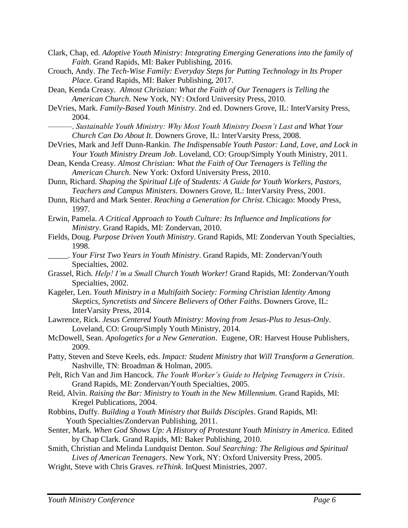- Clark, Chap, ed. *Adoptive Youth Ministry: Integrating Emerging Generations into the family of Faith*. Grand Rapids, MI: Baker Publishing, 2016.
- Crouch, Andy. *The Tech-Wise Family: Everyday Steps for Putting Technology in Its Proper Place*. Grand Rapids, MI: Baker Publishing, 2017.
- Dean, Kenda Creasy. *Almost Christian: What the Faith of Our Teenagers is Telling the American Church*. New York, NY: Oxford University Press, 2010.
- DeVries, Mark. *Family-Based Youth Ministry*. 2nd ed. Downers Grove, IL: InterVarsity Press, 2004.
	- ———. *Sustainable Youth Ministry: Why Most Youth Ministry Doesn't Last and What Your Church Can Do About It*. Downers Grove, IL: InterVarsity Press, 2008.
- DeVries, Mark and Jeff Dunn-Rankin. *The Indispensable Youth Pastor: Land, Love, and Lock in Your Youth Ministry Dream Job*. Loveland, CO: Group/Simply Youth Ministry, 2011.
- Dean, Kenda Creasy. *Almost Christian: What the Faith of Our Teenagers is Telling the American Church*. New York: Oxford University Press, 2010.
- Dunn, Richard. *Shaping the Spiritual Life of Students: A Guide for Youth Workers, Pastors, Teachers and Campus Ministers*. Downers Grove, IL: InterVarsity Press, 2001.
- Dunn, Richard and Mark Senter. *Reaching a Generation for Christ*. Chicago: Moody Press, 1997.
- Erwin, Pamela. *A Critical Approach to Youth Culture: Its Influence and Implications for Ministry*. Grand Rapids, MI: Zondervan, 2010.
- Fields, Doug. *Purpose Driven Youth Ministry*. Grand Rapids, MI: Zondervan Youth Specialties, 1998.
- \_\_\_\_\_. *Your First Two Years in Youth Ministry*. Grand Rapids, MI: Zondervan/Youth Specialties, 2002.
- Grassel, Rich. *Help! I'm a Small Church Youth Worker!* Grand Rapids, MI: Zondervan/Youth Specialties, 2002.
- Kageler, Len. *Youth Ministry in a Multifaith Society: Forming Christian Identity Among Skeptics, Syncretists and Sincere Believers of Other Faiths*. Downers Grove, IL: InterVarsity Press, 2014.
- Lawrence, Rick. *Jesus Centered Youth Ministry: Moving from Jesus-Plus to Jesus-Only*. Loveland, CO: Group/Simply Youth Ministry, 2014.
- McDowell, Sean. *Apologetics for a New Generation*. Eugene, OR: Harvest House Publishers, 2009.
- Patty, Steven and Steve Keels, eds. *Impact: Student Ministry that Will Transform a Generation*. Nashville, TN: Broadman & Holman, 2005.
- Pelt, Rich Van and Jim Hancock. *The Youth Worker's Guide to Helping Teenagers in Crisis*. Grand Rapids, MI: Zondervan/Youth Specialties, 2005.
- Reid, Alvin. *Raising the Bar: Ministry to Youth in the New Millennium*. Grand Rapids, MI: Kregel Publications, 2004.
- Robbins, Duffy. *Building a Youth Ministry that Builds Disciples*. Grand Rapids, MI: Youth Specialties/Zondervan Publishing, 2011.
- Senter, Mark. *When God Shows Up: A History of Protestant Youth Ministry in America*. Edited by Chap Clark. Grand Rapids, MI: Baker Publishing, 2010.
- Smith, Christian and Melinda Lundquist Denton. *Soul Searching: The Religious and Spiritual Lives of American Teenagers*. New York, NY: Oxford University Press, 2005.
- Wright, Steve with Chris Graves. *reThink*. InQuest Ministries, 2007.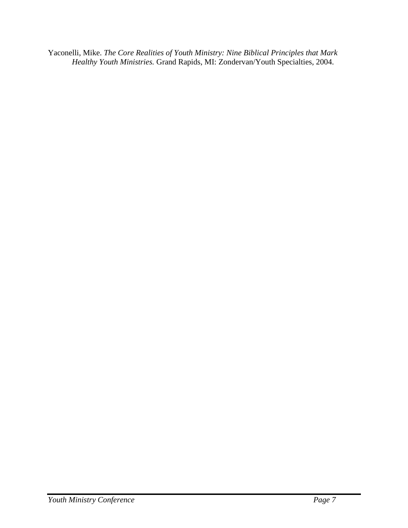Yaconelli, Mike. *The Core Realities of Youth Ministry: Nine Biblical Principles that Mark Healthy Youth Ministries.* Grand Rapids, MI: Zondervan/Youth Specialties, 2004.